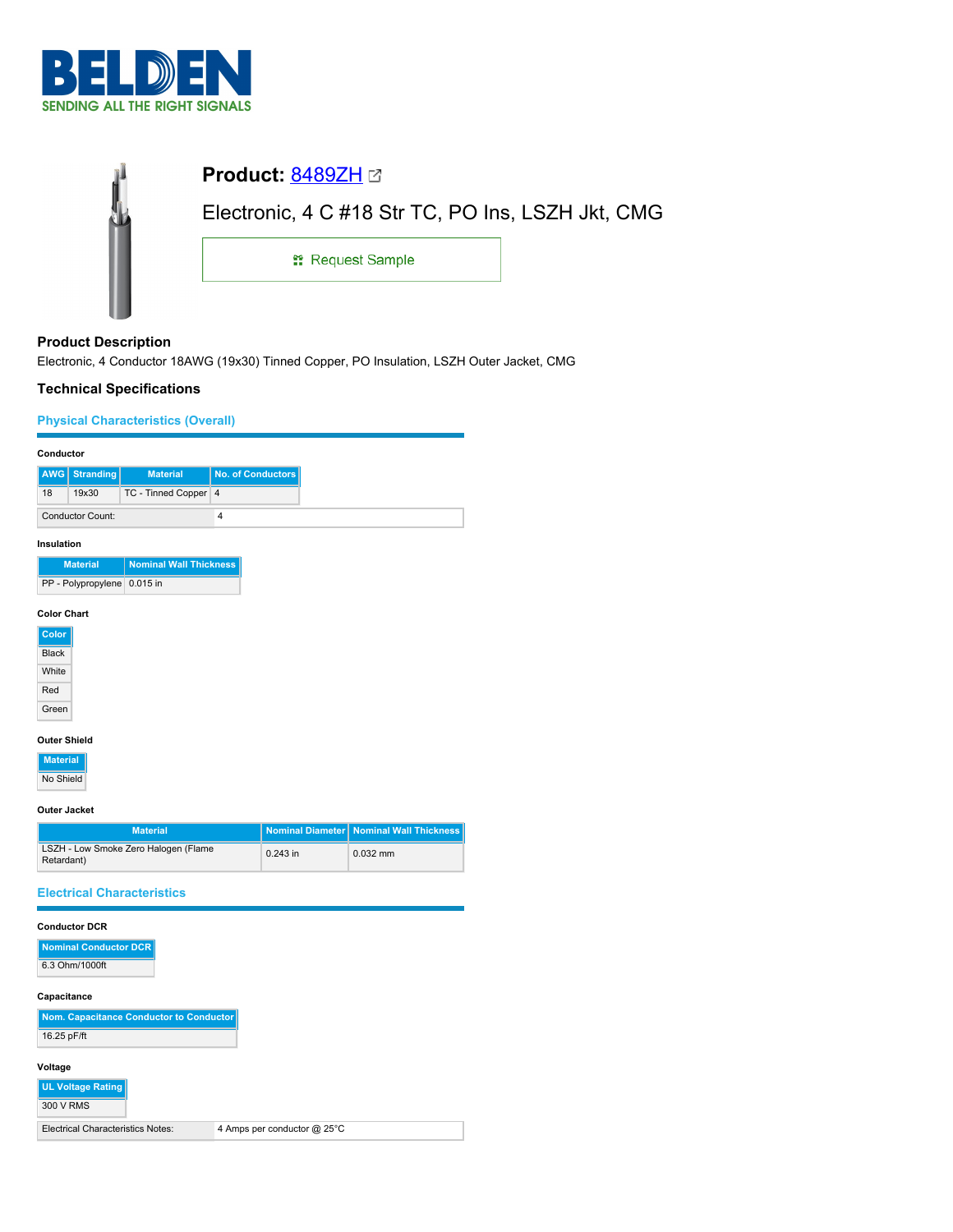

| Electronic, 4 C #18 Str TC, PO Ins, LSZH Jkt, CMG |  |  |  |
|---------------------------------------------------|--|--|--|
| <b>: Request Sample</b>                           |  |  |  |
|                                                   |  |  |  |

# **Product Description**

Electronic, 4 Conductor 18AWG (19x30) Tinned Copper, PO Insulation, LSZH Outer Jacket, CMG

# **Technical Specifications**

## **Physical Characteristics (Overall)**

|                    | Conductor                   |                               |                   |
|--------------------|-----------------------------|-------------------------------|-------------------|
| AWG                | <b>Stranding</b>            | <b>Material</b>               | No. of Conductors |
| 18                 | 19x30                       | TC - Tinned Copper 4          |                   |
|                    | <b>Conductor Count:</b>     |                               | $\sqrt{4}$        |
| Insulation         |                             |                               |                   |
|                    | <b>Material</b>             | <b>Nominal Wall Thickness</b> |                   |
|                    | PP - Polypropylene 0.015 in |                               |                   |
| <b>Color Chart</b> |                             |                               |                   |
| Color              |                             |                               |                   |
| <b>Black</b>       |                             |                               |                   |
| White              |                             |                               |                   |
| Red                |                             |                               |                   |
| Green              |                             |                               |                   |
|                    | <b>Outer Shield</b>         |                               |                   |
| <b>Material</b>    |                             |                               |                   |

No Shield

**Outer Jacket**

| <b>Material</b>                                    |            | Nominal Diameter   Nominal Wall Thickness |
|----------------------------------------------------|------------|-------------------------------------------|
| LSZH - Low Smoke Zero Halogen (Flame<br>Retardant) | $0.243$ in | $0.032$ mm                                |

## **Electrical Characteristics**

| <b>Conductor DCR</b> |  |
|----------------------|--|
|                      |  |

| Nominal Conductor DCR |  |
|-----------------------|--|
| 6.3 Ohm/1000ft        |  |

### **Capacitance**

| Nom. Capacitance Conductor to Conductor |
|-----------------------------------------|
| 16.25 pF/ft                             |

#### **Voltage**

| UL Voltage Rating                        |                             |
|------------------------------------------|-----------------------------|
| 300 V RMS                                |                             |
| <b>Electrical Characteristics Notes:</b> | 4 Amps per conductor @ 25°C |